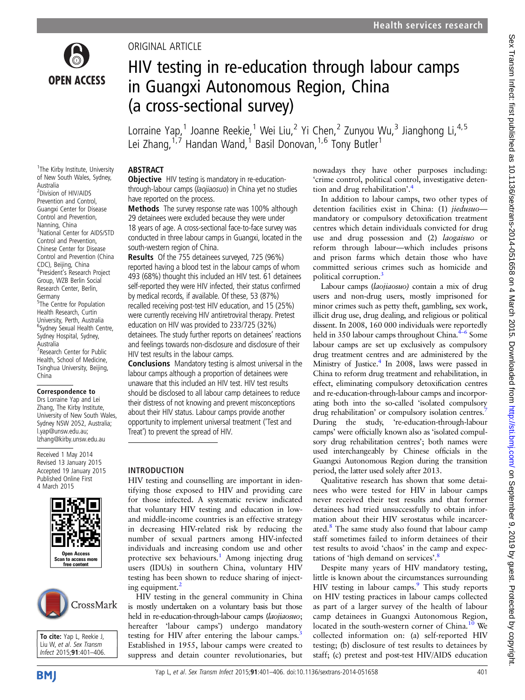

<sup>1</sup>The Kirby Institute, University

# ORIGINAL ARTICLE

# HIV testing in re-education through labour camps in Guangxi Autonomous Region, China (a cross-sectional survey)

Lorraine Yap,<sup>1</sup> Joanne Reekie,<sup>1</sup> Wei Liu,<sup>2</sup> Yi Chen,<sup>2</sup> Zunyou Wu,<sup>3</sup> Jianghong Li,<sup>4,5</sup> Lei Zhang,<sup>1,7</sup> Handan Wand,<sup>1</sup> Basil Donovan,<sup>1,6</sup> Tony Butler<sup>1</sup>

#### ABSTRACT

**Objective** HIV testing is mandatory in re-educationthrough-labour camps (laojiaosuo) in China yet no studies have reported on the process.

Methods The survey response rate was 100% although 29 detainees were excluded because they were under 18 years of age. A cross-sectional face-to-face survey was conducted in three labour camps in Guangxi, located in the south-western region of China.

Results Of the 755 detainees surveyed, 725 (96%) reported having a blood test in the labour camps of whom 493 (68%) thought this included an HIV test. 61 detainees self-reported they were HIV infected, their status confirmed by medical records, if available. Of these, 53 (87%) recalled receiving post-test HIV education, and 15 (25%) were currently receiving HIV antiretroviral therapy. Pretest education on HIV was provided to 233/725 (32%) detainees. The study further reports on detainees' reactions and feelings towards non-disclosure and disclosure of their HIV test results in the labour camps.

Conclusions Mandatory testing is almost universal in the labour camps although a proportion of detainees were unaware that this included an HIV test. HIV test results should be disclosed to all labour camp detainees to reduce their distress of not knowing and prevent misconceptions about their HIV status. Labour camps provide another opportunity to implement universal treatment ('Test and Treat') to prevent the spread of HIV.

#### INTRODUCTION

HIV testing and counselling are important in identifying those exposed to HIV and providing care for those infected. A systematic review indicated that voluntary HIV testing and education in lowand middle-income countries is an effective strategy in decreasing HIV-related risk by reducing the number of sexual partners among HIV-infected individuals and increasing condom use and other protective sex behaviours.<sup>[1](#page-5-0)</sup> Among injecting drug users (IDUs) in southern China, voluntary HIV testing has been shown to reduce sharing of inject-ing equipment.<sup>[2](#page-5-0)</sup>

HIV testing in the general community in China is mostly undertaken on a voluntary basis but those held in re-education-through-labour camps (laojiaosuo; hereafter 'labour camps') undergo mandatory testing for HIV after entering the labour camps.<sup>[3](#page-5-0)</sup> Established in 1955, labour camps were created to suppress and detain counter revolutionaries, but nowadays they have other purposes including: 'crime control, political control, investigative detention and drug rehabilitation'. [4](#page-5-0)

In addition to labour camps, two other types of detention facilities exist in China: (1) jiedusuomandatory or compulsory detoxification treatment centres which detain individuals convicted for drug use and drug possession and (2) laogaisuo or reform through labour—which includes prisons and prison farms which detain those who have committed serious crimes such as homicide and political corruption.

Labour camps (laojiaosuo) contain a mix of drug users and non-drug users, mostly imprisoned for minor crimes such as petty theft, gambling, sex work, illicit drug use, drug dealing, and religious or political dissent. In 2008, 160 000 individuals were reportedly held in 350 labour camps throughout China.<sup>4–6</sup> Some labour camps are set up exclusively as compulsory drug treatment centres and are administered by the Ministry of Justice.<sup>4</sup> In 2008, laws were passed in China to reform drug treatment and rehabilitation, in effect, eliminating compulsory detoxification centres and re-education-through-labour camps and incorporating both into the so-called 'isolated compulsory drug rehabilitation' or compulsory isolation centres.<sup>[7](#page-5-0)</sup> During the study, 're-education-through-labour camps' were officially known also as 'isolated compulsory drug rehabilitation centres'; both names were used interchangeably by Chinese officials in the Guangxi Autonomous Region during the transition period, the latter used solely after 2013.

Qualitative research has shown that some detainees who were tested for HIV in labour camps never received their test results and that former detainees had tried unsuccessfully to obtain information about their HIV serostatus while incarcer-ated.<sup>[8](#page-5-0)</sup> The same study also found that labour camp staff sometimes failed to inform detainees of their test results to avoid 'chaos' in the camp and expectations of 'high demand on services'. [8](#page-5-0)

Despite many years of HIV mandatory testing, little is known about the circumstances surrounding HIV testing in labour camps.<sup>9</sup> This study reports on HIV testing practices in labour camps collected as part of a larger survey of the health of labour camp detainees in Guangxi Autonomous Region, located in the south-western corner of China.<sup>[10](#page-5-0)</sup> We collected information on: (a) self-reported HIV testing; (b) disclosure of test results to detainees by staff; (c) pretest and post-test HIV/AIDS education

of New South Wales, Sydney, Australia 2 Division of HIV/AIDS Prevention and Control, Guangxi Center for Disease Control and Prevention, Nanning, China 3 National Center for AIDS/STD Control and Prevention, Chinese Center for Disease Control and Prevention (China CDC), Beijing, China 4 President's Research Project Group, WZB Berlin Social Research Center, Berlin, Germany <sup>5</sup>The Centre for Population Health Research, Curtin University, Perth, Australia <sup>6</sup>Sydney Sexual Health Centre, Sydney Hospital, Sydney, Australia <sup>7</sup> Research Center for Public Health, School of Medicine, Tsinghua University, Beijing, China

#### Correspondence to

Drs Lorraine Yap and Lei Zhang, The Kirby Institute, University of New South Wales, Sydney NSW 2052, Australia; l.yap@unsw.edu.au; lzhang@kirby.unsw.edu.au

Received 1 May 2014 Revised 13 January 2015 Accepted 19 January 2015 Published Online First 4 March 2015



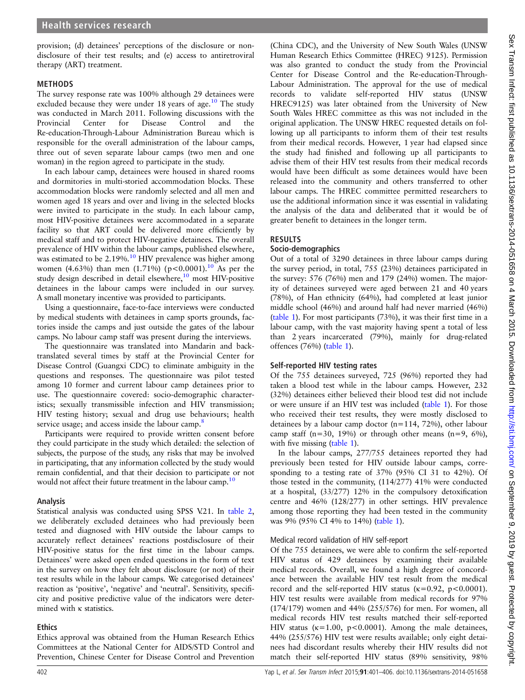provision; (d) detainees' perceptions of the disclosure or nondisclosure of their test results; and (e) access to antiretroviral therapy (ART) treatment.

#### METHODS

The survey response rate was 100% although 29 detainees were excluded because they were under  $18$  years of age.<sup>[10](#page-5-0)</sup> The study was conducted in March 2011. Following discussions with the Provincial Center for Disease Control and the Re-education-Through-Labour Administration Bureau which is responsible for the overall administration of the labour camps, three out of seven separate labour camps (two men and one woman) in the region agreed to participate in the study.

In each labour camp, detainees were housed in shared rooms and dormitories in multi-storied accommodation blocks. These accommodation blocks were randomly selected and all men and women aged 18 years and over and living in the selected blocks were invited to participate in the study. In each labour camp, most HIV-positive detainees were accommodated in a separate facility so that ART could be delivered more efficiently by medical staff and to protect HIV-negative detainees. The overall prevalence of HIV within the labour camps, published elsewhere, was estimated to be 2.19%.<sup>[10](#page-5-0)</sup> HIV prevalence was higher among women (4.63%) than men (1.71%) ( $p < 0.0001$ ).<sup>10</sup> As per the study design described in detail elsewhere,<sup>10</sup> most HIV-positive detainees in the labour camps were included in our survey. A small monetary incentive was provided to participants.

Using a questionnaire, face-to-face interviews were conducted by medical students with detainees in camp sports grounds, factories inside the camps and just outside the gates of the labour camps. No labour camp staff was present during the interviews.

The questionnaire was translated into Mandarin and backtranslated several times by staff at the Provincial Center for Disease Control (Guangxi CDC) to eliminate ambiguity in the questions and responses. The questionnaire was pilot tested among 10 former and current labour camp detainees prior to use. The questionnaire covered: socio-demographic characteristics; sexually transmissible infection and HIV transmission; HIV testing history; sexual and drug use behaviours; health service usage; and access inside the labour camp.<sup>8</sup>

Participants were required to provide written consent before they could participate in the study which detailed: the selection of subjects, the purpose of the study, any risks that may be involved in participating, that any information collected by the study would remain confidential, and that their decision to participate or not would not affect their future treatment in the labour camp.<sup>[10](#page-5-0)</sup>

#### Analysis

Statistical analysis was conducted using SPSS V.21. In [table 2](#page-4-0), we deliberately excluded detainees who had previously been tested and diagnosed with HIV outside the labour camps to accurately reflect detainees' reactions postdisclosure of their HIV-positive status for the first time in the labour camps. Detainees' were asked open ended questions in the form of text in the survey on how they felt about disclosure (or not) of their test results while in the labour camps. We categorised detainees' reaction as 'positive', 'negative' and 'neutral'. Sensitivity, specificity and positive predictive value of the indicators were determined with κ statistics.

## **Ethics**

Ethics approval was obtained from the Human Research Ethics Committees at the National Center for AIDS/STD Control and Prevention, Chinese Center for Disease Control and Prevention

(China CDC), and the University of New South Wales (UNSW Human Research Ethics Committee (HREC) 9125). Permission was also granted to conduct the study from the Provincial Center for Disease Control and the Re-education-Through-Labour Administration. The approval for the use of medical records to validate self-reported HIV status (UNSW HREC9125) was later obtained from the University of New South Wales HREC committee as this was not included in the original application. The UNSW HREC requested details on following up all participants to inform them of their test results from their medical records. However, 1 year had elapsed since the study had finished and following up all participants to advise them of their HIV test results from their medical records would have been difficult as some detainees would have been released into the community and others transferred to other labour camps. The HREC committee permitted researchers to use the additional information since it was essential in validating the analysis of the data and deliberated that it would be of greater benefit to detainees in the longer term.

# RESULTS

#### Socio-demographics

Out of a total of 3290 detainees in three labour camps during the survey period, in total, 755 (23%) detainees participated in the survey: 576 (76%) men and 179 (24%) women. The majority of detainees surveyed were aged between 21 and 40 years (78%), of Han ethnicity (64%), had completed at least junior middle school (46%) and around half had never married (46%) ([table 1\)](#page-2-0). For most participants (73%), it was their first time in a labour camp, with the vast majority having spent a total of less than 2 years incarcerated (79%), mainly for drug-related offences (76%) [\(table 1](#page-2-0)).

## Self-reported HIV testing rates

Of the 755 detainees surveyed, 725 (96%) reported they had taken a blood test while in the labour camps. However, 232 (32%) detainees either believed their blood test did not include or were unsure if an HIV test was included ([table 1](#page-2-0)). For those who received their test results, they were mostly disclosed to detainees by a labour camp doctor (n=114, 72%), other labour camp staff (n=30, 19%) or through other means (n=9, 6%), with five missing *[\(table 1](#page-2-0))*.

In the labour camps, 277/755 detainees reported they had previously been tested for HIV outside labour camps, corresponding to a testing rate of 37% (95% CI 31 to 42%). Of those tested in the community, (114/277) 41% were conducted at a hospital, (33/277) 12% in the compulsory detoxification centre and 46% (128/277) in other settings. HIV prevalence among those reporting they had been tested in the community was 9% (95% CI 4% to 14%) ([table 1](#page-2-0)).

## Medical record validation of HIV self-report

Of the 755 detainees, we were able to confirm the self-reported HIV status of 429 detainees by examining their available medical records. Overall, we found a high degree of concordance between the available HIV test result from the medical record and the self-reported HIV status ( $\kappa$ =0.92, p<0.0001). HIV test results were available from medical records for 97% (174/179) women and 44% (255/576) for men. For women, all medical records HIV test results matched their self-reported HIV status ( $\kappa$ =1.00, p<0.0001). Among the male detainees, 44% (255/576) HIV test were results available; only eight detainees had discordant results whereby their HIV results did not match their self-reported HIV status (89% sensitivity, 98%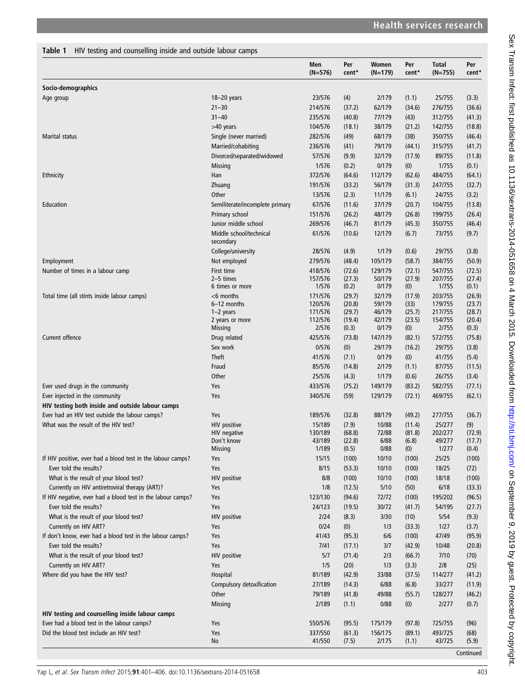<span id="page-2-0"></span>Table 1 HIV testing and counselling inside and outside labour camps

|                                                                                    |                                      | Men<br>$(N=576)$   | Per<br>cent*    | Women<br>(N=179) | Per<br>cent*     | <b>Total</b><br>$(N=755)$ | Per<br>cent*     |
|------------------------------------------------------------------------------------|--------------------------------------|--------------------|-----------------|------------------|------------------|---------------------------|------------------|
| Socio-demographics                                                                 |                                      |                    |                 |                  |                  |                           |                  |
| Age group                                                                          | $18 - 20$ years                      | 23/576             | (4)             | 2/179            | (1.1)            | 25/755                    | (3.3)            |
|                                                                                    | $21 - 30$                            | 214/576            | (37.2)          | 62/179           | (34.6)           | 276/755                   | (36.6)           |
|                                                                                    | $31 - 40$                            | 235/576            | (40.8)          | 77/179           | (43)             | 312/755                   | (41.3)           |
|                                                                                    | >40 years                            | 104/576            | (18.1)          | 38/179           | (21.2)           | 142/755                   | (18.8)           |
| Marital status                                                                     | Single (never married)               | 282/576            | (49)            | 68/179           | (38)             | 350/755                   | (46.4)           |
|                                                                                    | Married/cohabiting                   | 236/576            | (41)            | 79/179           | (44.1)           | 315/755                   | (41.7)           |
|                                                                                    | Divorced/separated/widowed           | 57/576             | (9.9)           | 32/179           | (17.9)           | 89/755                    | (11.8)           |
|                                                                                    | <b>Missing</b>                       | 1/576              | (0.2)           | 0/179            | (0)              | 1/755                     | (0.1)            |
| Ethnicity                                                                          | Han                                  | 372/576            | (64.6)          | 112/179          | (62.6)           | 484/755                   | (64.1)           |
|                                                                                    | Zhuang                               | 191/576            | (33.2)          | 56/179           | (31.3)           | 247/755                   | (32.7)           |
|                                                                                    | Other                                | 13/576             | (2.3)           | 11/179           | (6.1)            | 24/755                    | (3.2)            |
| Education                                                                          | Semiliterate/incomplete primary      | 67/576             | (11.6)          | 37/179           | (20.7)           | 104/755                   | (13.8)           |
|                                                                                    | Primary school                       | 151/576            | (26.2)          | 48/179           | (26.8)           | 199/755                   | (26.4)           |
|                                                                                    | Junior middle school                 | 269/576            | (46.7)          | 81/179           | (45.3)           | 350/755                   | (46.4)           |
|                                                                                    | Middle school/technical<br>secondary | 61/576             | (10.6)          | 12/179           | (6.7)            | 73/755                    | (9.7)            |
|                                                                                    | College/university                   | 28/576             | (4.9)           | 1/179            | (0.6)            | 29/755                    | (3.8)            |
| Employment                                                                         | Not employed                         | 279/576            | (48.4)          | 105/179          | (58.7)           | 384/755                   | (50.9)           |
| Number of times in a labour camp                                                   | First time<br>$2-5$ times            | 418/576<br>157/576 | (72.6)          | 129/179          | (72.1)           | 547/755                   | (72.5)           |
|                                                                                    | 6 times or more                      | 1/576              | (27.3)<br>(0.2) | 50/179<br>0/179  | (27.9)<br>(0)    | 207/755<br>1/755          | (27.4)<br>(0.1)  |
| Total time (all stints inside labour camps)                                        | $<$ 6 months                         | 171/576            | (29.7)          | 32/179           | (17.9)           | 203/755                   | (26.9)           |
|                                                                                    | 6-12 months                          | 120/576            | (20.8)          | 59/179           | (33)             | 179/755                   | (23.7)           |
|                                                                                    | $1-2$ years                          | 171/576            | (29.7)          | 46/179           | (25.7)           | 217/755                   | (28.7)           |
|                                                                                    | 2 years or more                      | 112/576            | (19.4)          | 42/179           | (23.5)           | 154/755                   | (20.4)           |
| Current offence                                                                    | <b>Missing</b>                       | 2/576              | (0.3)           | 0/179            | (0)              | 2/755                     | (0.3)            |
|                                                                                    | Drug related<br>Sex work             | 425/576            | (73.8)          | 147/179          | (82.1)           | 572/755                   | (75.8)           |
|                                                                                    | <b>Theft</b>                         | 0/576<br>41/576    | (0)<br>(7.1)    | 29/179<br>0/179  | (16.2)<br>(0)    | 29/755<br>41/755          | (3.8)<br>(5.4)   |
|                                                                                    | Fraud                                | 85/576             | (14.8)          | 2/179            | (1.1)            | 87/755                    | (11.5)           |
|                                                                                    | Other                                | 25/576             | (4.3)           | 1/179            | (0.6)            | 26/755                    | (3.4)            |
| Ever used drugs in the community                                                   | Yes                                  | 433/576            | (75.2)          | 149/179          | (83.2)           | 582/755                   | (77.1)           |
| Ever injected in the community                                                     | Yes                                  | 340/576            | (59)            | 129/179          | (72.1)           | 469/755                   | (62.1)           |
| HIV testing both inside and outside labour camps                                   |                                      |                    |                 |                  |                  |                           |                  |
| Ever had an HIV test outside the labour camps?                                     | Yes                                  | 189/576            | (32.8)          | 88/179           | (49.2)           | 277/755                   | (36.7)           |
| What was the result of the HIV test?                                               | <b>HIV</b> positive                  | 15/189             | (7.9)           | 10/88            | (11.4)           | 25/277                    | (9)              |
|                                                                                    | HIV negative                         | 130/189            | (68.8)          | 72/88            | (81.8)           | 202/277                   | (72.9)           |
|                                                                                    | Don't know                           | 43/189             | (22.8)          | 6/88             | (6.8)            | 49/277                    | (17.7)           |
|                                                                                    | <b>Missing</b>                       | 1/189              | (0.5)           | 0/88             | (0)              | 1/277                     | (0.4)            |
| If HIV positive, ever had a blood test in the labour camps?                        | Yes                                  | 15/15              | (100)           | 10/10            | (100)            | 25/25                     | (100)            |
| Ever told the results?                                                             | Yes                                  | 8/15               | (53.3)          | 10/10            | (100)            | 18/25                     | (72)             |
| What is the result of your blood test?                                             | HIV positive                         | 8/8                | (100)           | 10/10            | (100)            | 18/18                     | (100)            |
| Currently on HIV antiretroviral therapy (ART)?                                     | Yes                                  | 1/8                | (12.5)          | 5/10             | (50)             | 6/18                      | (33.3)           |
| If HIV negative, ever had a blood test in the labour camps?                        | Yes                                  | 123/130            | (94.6)          | 72/72            | (100)            | 195/202                   | (96.5)           |
| Ever told the results?                                                             | Yes                                  | 24/123             | (19.5)          | 30/72            | (41.7)           | 54/195                    | (27.7)           |
| What is the result of your blood test?                                             | <b>HIV positive</b>                  | 2/24<br>0/24       | (8.3)           | 3/30             | (10)             | 5/54                      | (9.3)            |
| Currently on HIV ART?<br>If don't know, ever had a blood test in the labour camps? | Yes<br>Yes                           | 41/43              | (0)<br>(95.3)   | 1/3<br>6/6       | (33.3)           | 1/27<br>47/49             | (3.7)            |
| Ever told the results?                                                             | Yes                                  | 7/41               | (17.1)          | 3/7              | (100)            | 10/48                     | (95.9)<br>(20.8) |
| What is the result of your blood test?                                             | <b>HIV positive</b>                  | 5/7                | (71.4)          | 2/3              | (42.9)<br>(66.7) | 7/10                      |                  |
| Currently on HIV ART?                                                              | Yes                                  | 1/5                |                 | 1/3              |                  | 2/8                       | (70)             |
| Where did you have the HIV test?                                                   | Hospital                             | 81/189             | (20)<br>(42.9)  | 33/88            | (3.3)<br>(37.5)  | 114/277                   | (25)<br>(41.2)   |
|                                                                                    | Compulsory detoxification            | 27/189             | (14.3)          | 6/88             | (6.8)            | 33/277                    | (11.9)           |
|                                                                                    | Other                                | 79/189             | (41.8)          | 49/88            | (55.7)           | 128/277                   | (46.2)           |
|                                                                                    | Missing                              | 2/189              | (1.1)           | 0/88             | (0)              | 2/277                     | (0.7)            |
| HIV testing and counselling inside labour camps                                    |                                      |                    |                 |                  |                  |                           |                  |
| Ever had a blood test in the labour camps?                                         | Yes                                  | 550/576            | (95.5)          | 175/179          | (97.8)           | 725/755                   | (96)             |
| Did the blood test include an HIV test?                                            | Yes                                  | 337/550            | (61.3)          | 156/175          | (89.1)           | 493/725                   | (68)             |
|                                                                                    | No                                   | 41/550             | (7.5)           | 2/175            | (1.1)            | 43/725                    | (5.9)            |

```
Sex Transm Infect: first published as 10.1136/sextrans-2014-051658 on 4 March 2015. Downloaded from http://sti.bmj.com/ on September 9, 2019 by guest. Protected by copyright.
         http://sti.bmj.com/ on September 9, 2019 by guest. Protected by copyright.
```
**Continued**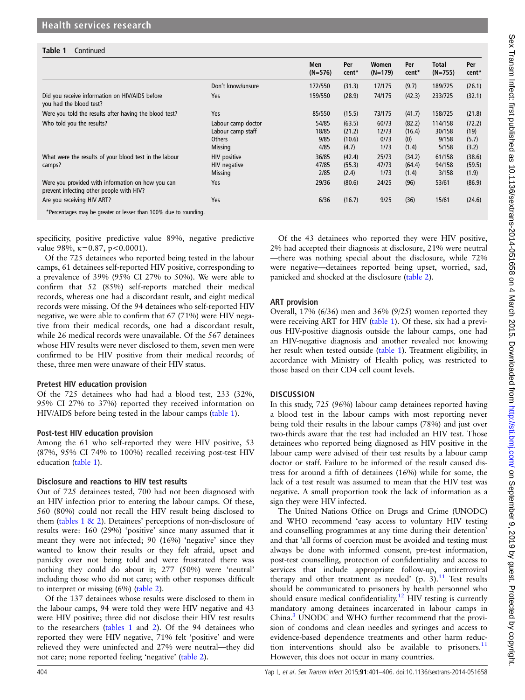#### Table 1 Continued

|                                                                                               |                                                                            | Men<br>$(N=576)$               | Per<br>cent*                        | Women<br>$(N=179)$             | Per<br>cent*                     | Total<br>$(N=755)$                  | Per<br>cent*                     |
|-----------------------------------------------------------------------------------------------|----------------------------------------------------------------------------|--------------------------------|-------------------------------------|--------------------------------|----------------------------------|-------------------------------------|----------------------------------|
|                                                                                               | Don't know/unsure                                                          | 172/550                        | (31.3)                              | 17/175                         | (9.7)                            | 189/725                             | (26.1)                           |
| Did you receive information on HIV/AIDS before<br>you had the blood test?                     | Yes                                                                        | 159/550                        | (28.9)                              | 74/175                         | (42.3)                           | 233/725                             | (32.1)                           |
| Were you told the results after having the blood test?                                        | Yes                                                                        | 85/550                         | (15.5)                              | 73/175                         | (41.7)                           | 158/725                             | (21.8)                           |
| Who told you the results?                                                                     | Labour camp doctor<br>Labour camp staff<br><b>Others</b><br><b>Missing</b> | 54/85<br>18/85<br>9/85<br>4/85 | (63.5)<br>(21.2)<br>(10.6)<br>(4.7) | 60/73<br>12/73<br>0/73<br>1/73 | (82.2)<br>(16.4)<br>(0)<br>(1.4) | 114/158<br>30/158<br>9/158<br>5/158 | (72.2)<br>(19)<br>(5.7)<br>(3.2) |
| What were the results of your blood test in the labour<br>camps?                              | HIV positive<br>HIV negative<br><b>Missing</b>                             | 36/85<br>47/85<br>2/85         | (42.4)<br>(55.3)<br>(2.4)           | 25/73<br>47/73<br>1/73         | (34.2)<br>(64.4)<br>(1.4)        | 61/158<br>94/158<br>3/158           | (38.6)<br>(59.5)<br>(1.9)        |
| Were you provided with information on how you can<br>prevent infecting other people with HIV? | Yes                                                                        | 29/36                          | (80.6)                              | 24/25                          | (96)                             | 53/61                               | (86.9)                           |
| Are you receiving HIV ART?                                                                    | Yes                                                                        | 6/36                           | (16.7)                              | 9/25                           | (36)                             | 15/61                               | (24.6)                           |

specificity, positive predictive value 89%, negative predictive value 98%,  $\kappa = 0.87$ , p<0.0001).

Of the 725 detainees who reported being tested in the labour camps, 61 detainees self-reported HIV positive, corresponding to a prevalence of 39% (95% CI 27% to 50%). We were able to confirm that 52 (85%) self-reports matched their medical records, whereas one had a discordant result, and eight medical records were missing. Of the 94 detainees who self-reported HIV negative, we were able to confirm that 67 (71%) were HIV negative from their medical records, one had a discordant result, while 26 medical records were unavailable. Of the 567 detainees whose HIV results were never disclosed to them, seven men were confirmed to be HIV positive from their medical records; of these, three men were unaware of their HIV status.

#### Pretest HIV education provision

Of the 725 detainees who had had a blood test, 233 (32%, 95% CI 27% to 37%) reported they received information on HIV/AIDS before being tested in the labour camps ([table 1](#page-2-0)).

#### Post-test HIV education provision

Among the 61 who self-reported they were HIV positive, 53 (87%, 95% CI 74% to 100%) recalled receiving post-test HIV education ([table 1\)](#page-2-0).

#### Disclosure and reactions to HIV test results

Out of 725 detainees tested, 700 had not been diagnosed with an HIV infection prior to entering the labour camps. Of these, 560 (80%) could not recall the HIV result being disclosed to them [\(tables 1 & 2\)](#page-4-0). Detainees' perceptions of non-disclosure of results were: 160 (29%) 'positive' since many assumed that it meant they were not infected; 90 (16%) 'negative' since they wanted to know their results or they felt afraid, upset and panicky over not being told and were frustrated there was nothing they could do about it; 277 (50%) were 'neutral' including those who did not care; with other responses difficult to interpret or missing (6%) ([table 2\)](#page-4-0).

Of the 137 detainees whose results were disclosed to them in the labour camps, 94 were told they were HIV negative and 43 were HIV positive; three did not disclose their HIV test results to the researchers ([tables 1](#page-2-0) and [2\)](#page-4-0). Of the 94 detainees who reported they were HIV negative, 71% felt 'positive' and were relieved they were uninfected and 27% were neutral—they did not care; none reported feeling 'negative' ([table 2](#page-4-0)).

Of the 43 detainees who reported they were HIV positive, 2% had accepted their diagnosis at disclosure, 21% were neutral —there was nothing special about the disclosure, while 72% were negative—detainees reported being upset, worried, sad, panicked and shocked at the disclosure ([table 2\)](#page-4-0).

#### ART provision

Overall, 17% (6/36) men and 36% (9/25) women reported they were receiving ART for HIV ([table 1](#page-2-0)). Of these, six had a previous HIV-positive diagnosis outside the labour camps, one had an HIV-negative diagnosis and another revealed not knowing her result when tested outside ([table 1](#page-2-0)). Treatment eligibility, in accordance with Ministry of Health policy, was restricted to those based on their CD4 cell count levels.

## **DISCUSSION**

In this study, 725 (96%) labour camp detainees reported having a blood test in the labour camps with most reporting never being told their results in the labour camps (78%) and just over two-thirds aware that the test had included an HIV test. Those detainees who reported being diagnosed as HIV positive in the labour camp were advised of their test results by a labour camp doctor or staff. Failure to be informed of the result caused distress for around a fifth of detainees (16%) while for some, the lack of a test result was assumed to mean that the HIV test was negative. A small proportion took the lack of information as a sign they were HIV infected.

The United Nations Office on Drugs and Crime (UNODC) and WHO recommend 'easy access to voluntary HIV testing and counselling programmes at any time during their detention' and that 'all forms of coercion must be avoided and testing must always be done with informed consent, pre-test information, post-test counselling, protection of confidentiality and access to services that include appropriate follow-up, antiretroviral therapy and other treatment as needed'  $(p, 3)$ .<sup>[11](#page-5-0)</sup> Test results should be communicated to prisoners by health personnel who should ensure medical confidentiality.<sup>[12](#page-5-0)</sup> HIV testing is currently mandatory among detainees incarcerated in labour camps in China.<sup>3</sup> UNODC and WHO further recommend that the provision of condoms and clean needles and syringes and access to evidence-based dependence treatments and other harm reduc-tion interventions should also be available to prisoners.<sup>[11](#page-5-0)</sup> However, this does not occur in many countries.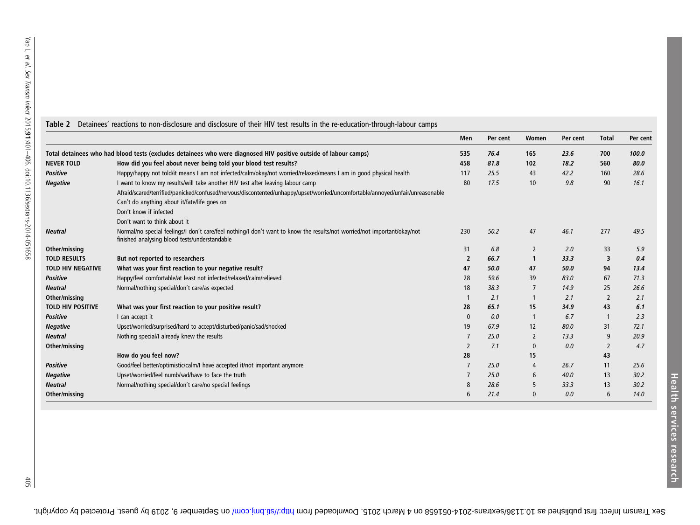<span id="page-4-0"></span>

|                                                                                                                  |                                                                                                                                                                           | Men            | Per cent | Women          | Per cent | <b>Total</b>   | Per cent |
|------------------------------------------------------------------------------------------------------------------|---------------------------------------------------------------------------------------------------------------------------------------------------------------------------|----------------|----------|----------------|----------|----------------|----------|
| Total detainees who had blood tests (excludes detainees who were diagnosed HIV positive outside of labour camps) |                                                                                                                                                                           | 535            | 76.4     | 165            | 23.6     | 700            | 100.0    |
| <b>NEVER TOLD</b>                                                                                                | How did you feel about never being told your blood test results?                                                                                                          | 458            | 81.8     | 102            | 18.2     | 560            | 80.0     |
| <b>Positive</b>                                                                                                  | Happy/happy not told/it means I am not infected/calm/okay/not worried/relaxed/means I am in good physical health                                                          | 117            | 25.5     | 43             | 42.2     | 160            | 28.6     |
| <b>Negative</b>                                                                                                  | I want to know my results/will take another HIV test after leaving labour camp                                                                                            | 80             | 17.5     | 10             | 9.8      | 90             | 16.1     |
|                                                                                                                  | Afraid/scared/terrified/panicked/confused/nervous/discontented/unhappy/upset/worried/uncomfortable/annoyed/unfair/unreasonable                                            |                |          |                |          |                |          |
|                                                                                                                  | Can't do anything about it/fate/life goes on                                                                                                                              |                |          |                |          |                |          |
|                                                                                                                  | Don't know if infected                                                                                                                                                    |                |          |                |          |                |          |
|                                                                                                                  | Don't want to think about it                                                                                                                                              |                |          |                |          |                |          |
| <b>Neutral</b>                                                                                                   | Normal/no special feelings/l don't care/feel nothing/l don't want to know the results/not worried/not important/okay/not<br>finished analysing blood tests/understandable | 230            | 50.2     | 47             | 46.1     | 277            | 49.5     |
| Other/missing                                                                                                    |                                                                                                                                                                           | 31             | 6.8      | 2              | 2.0      | 33             | 5.9      |
| <b>TOLD RESULTS</b>                                                                                              | But not reported to researchers                                                                                                                                           | $\overline{2}$ | 66.7     | $\mathbf 1$    | 33.3     | 3              | 0.4      |
| <b>TOLD HIV NEGATIVE</b>                                                                                         | What was your first reaction to your negative result?                                                                                                                     | 47             | 50.0     | 47             | 50.0     | 94             | 13.4     |
| <b>Positive</b>                                                                                                  | Happy/feel comfortable/at least not infected/relaxed/calm/relieved                                                                                                        | 28             | 59.6     | 39             | 83.0     | 67             | 71.3     |
| <b>Neutral</b>                                                                                                   | Normal/nothing special/don't care/as expected                                                                                                                             | 18             | 38.3     |                | 14.9     | 25             | 26.6     |
| Other/missing                                                                                                    |                                                                                                                                                                           |                | 2.1      |                | 2.1      | 2              | 2.1      |
| <b>TOLD HIV POSITIVE</b>                                                                                         | What was your first reaction to your positive result?                                                                                                                     | 28             | 65.1     | 15             | 34.9     | 43             | 6.1      |
| <b>Positive</b>                                                                                                  | I can accept it                                                                                                                                                           | $\mathbf{0}$   | 0.0      |                | 6.7      |                | 2.3      |
| <b>Negative</b>                                                                                                  | Upset/worried/surprised/hard to accept/disturbed/panic/sad/shocked                                                                                                        | 19             | 67.9     | 12             | 80.0     | 31             | 72.1     |
| <b>Neutral</b>                                                                                                   | Nothing special/I already knew the results                                                                                                                                |                | 25.0     | $\overline{2}$ | 13.3     | 9              | 20.9     |
| Other/missing                                                                                                    |                                                                                                                                                                           | $\overline{2}$ | 7.1      | $\mathbf{0}$   | 0.0      | $\overline{2}$ | 4.7      |
|                                                                                                                  | How do you feel now?                                                                                                                                                      | 28             |          | 15             |          | 43             |          |
| <b>Positive</b>                                                                                                  | Good/feel better/optimistic/calm/I have accepted it/not important anymore                                                                                                 |                | 25.0     | 4              | 26.7     | 11             | 25.6     |
| <b>Negative</b>                                                                                                  | Upset/worried/feel numb/sad/have to face the truth                                                                                                                        |                | 25.0     | 6              | 40.0     | 13             | 30.2     |
| <b>Neutral</b>                                                                                                   | Normal/nothing special/don't care/no special feelings                                                                                                                     | 8              | 28.6     | 5              | 33.3     | 13             | 30.2     |
| Other/missing                                                                                                    |                                                                                                                                                                           | 6              | 21.4     | $\Omega$       | 0.0      | 6              | 14.0     |

Health services research

**Health services research**